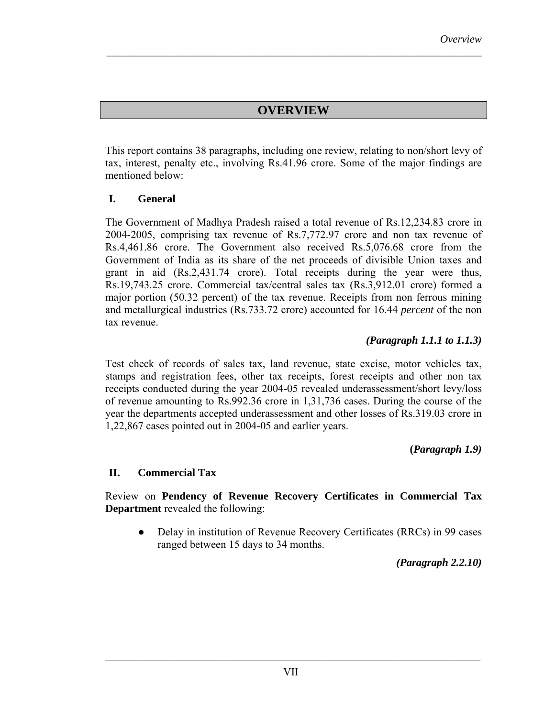## **OVERVIEW**

*\_\_\_\_\_\_\_\_\_\_\_\_\_\_\_\_\_\_\_\_\_\_\_\_\_\_\_\_\_\_\_\_\_\_\_\_\_\_\_\_\_\_\_\_\_\_\_\_\_\_\_\_\_\_\_\_\_\_\_\_\_\_\_\_\_\_\_\_\_* 

This report contains 38 paragraphs, including one review, relating to non/short levy of tax, interest, penalty etc., involving Rs.41.96 crore. Some of the major findings are mentioned below:

#### **I. General**

The Government of Madhya Pradesh raised a total revenue of Rs.12,234.83 crore in 2004-2005, comprising tax revenue of Rs.7,772.97 crore and non tax revenue of Rs.4,461.86 crore. The Government also received Rs.5,076.68 crore from the Government of India as its share of the net proceeds of divisible Union taxes and grant in aid (Rs.2,431.74 crore). Total receipts during the year were thus, Rs.19,743.25 crore. Commercial tax/central sales tax (Rs.3,912.01 crore) formed a major portion (50.32 percent) of the tax revenue. Receipts from non ferrous mining and metallurgical industries (Rs.733.72 crore) accounted for 16.44 *percent* of the non tax revenue.

#### *(Paragraph 1.1.1 to 1.1.3)*

Test check of records of sales tax, land revenue, state excise, motor vehicles tax, stamps and registration fees, other tax receipts, forest receipts and other non tax receipts conducted during the year 2004-05 revealed underassessment/short levy/loss of revenue amounting to Rs.992.36 crore in 1,31,736 cases. During the course of the year the departments accepted underassessment and other losses of Rs.319.03 crore in 1,22,867 cases pointed out in 2004-05 and earlier years.

**(***Paragraph 1.9)*

#### **II. Commercial Tax**

Review on **Pendency of Revenue Recovery Certificates in Commercial Tax Department** revealed the following:

• Delay in institution of Revenue Recovery Certificates (RRCs) in 99 cases ranged between 15 days to 34 months.

*(Paragraph 2.2.10)*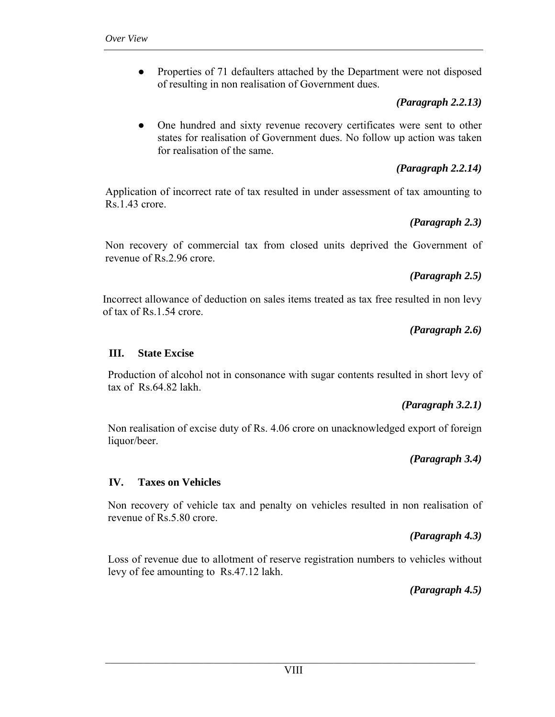• Properties of 71 defaulters attached by the Department were not disposed of resulting in non realisation of Government dues.

## *(Paragraph 2.2.13)*

• One hundred and sixty revenue recovery certificates were sent to other states for realisation of Government dues. No follow up action was taken for realisation of the same.

# *(Paragraph 2.2.14)*

Application of incorrect rate of tax resulted in under assessment of tax amounting to Rs.1.43 crore.

## *(Paragraph 2.3)*

Non recovery of commercial tax from closed units deprived the Government of revenue of Rs.2.96 crore.

## *(Paragraph 2.5)*

Incorrect allowance of deduction on sales items treated as tax free resulted in non levy of tax of Rs.1.54 crore.

# *(Paragraph 2.6)*

### **III. State Excise**

Production of alcohol not in consonance with sugar contents resulted in short levy of tax of Rs.64.82 lakh.

### *(Paragraph 3.2.1)*

Non realisation of excise duty of Rs. 4.06 crore on unacknowledged export of foreign liquor/beer.

# *(Paragraph 3.4)*

### **IV. Taxes on Vehicles**

Non recovery of vehicle tax and penalty on vehicles resulted in non realisation of revenue of Rs.5.80 crore.

# *(Paragraph 4.3)*

Loss of revenue due to allotment of reserve registration numbers to vehicles without levy of fee amounting to Rs.47.12 lakh.

*(Paragraph 4.5)* 

 $\mathcal{L}_\text{max} = \mathcal{L}_\text{max} = \mathcal{L}_\text{max} = \mathcal{L}_\text{max} = \mathcal{L}_\text{max} = \mathcal{L}_\text{max} = \mathcal{L}_\text{max} = \mathcal{L}_\text{max} = \mathcal{L}_\text{max} = \mathcal{L}_\text{max} = \mathcal{L}_\text{max} = \mathcal{L}_\text{max} = \mathcal{L}_\text{max} = \mathcal{L}_\text{max} = \mathcal{L}_\text{max} = \mathcal{L}_\text{max} = \mathcal{L}_\text{max} = \mathcal{L}_\text{max} = \mathcal{$